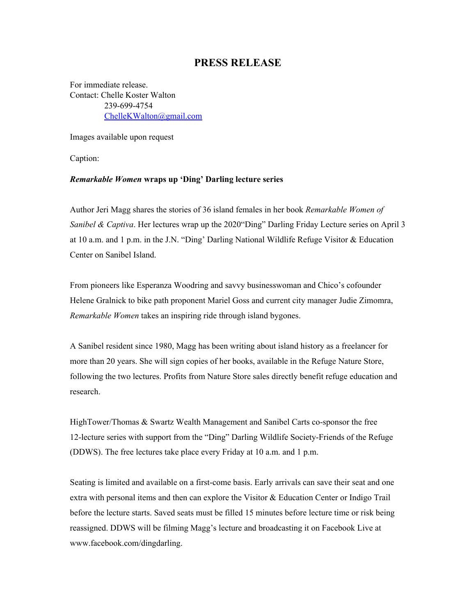## **PRESS RELEASE**

For immediate release. Contact: Chelle Koster Walton 239-699-4754 [ChelleKWalton@gmail.com](mailto:ChelleKWalton@gmail.com)

Images available upon request

Caption:

## *Remarkable Women* **wraps up 'Ding' Darling lecture series**

Author Jeri Magg shares the stories of 36 island females in her book *Remarkable Women of Sanibel* & *Captiva*. Her lectures wrap up the 2020 "Ding" Darling Friday Lecture series on April 3 at 10 a.m. and 1 p.m. in the J.N. "Ding' Darling National Wildlife Refuge Visitor & Education Center on Sanibel Island.

From pioneers like Esperanza Woodring and savvy businesswoman and Chico's cofounder Helene Gralnick to bike path proponent Mariel Goss and current city manager Judie Zimomra, *Remarkable Women* takes an inspiring ride through island bygones.

A Sanibel resident since 1980, Magg has been writing about island history as a freelancer for more than 20 years. She will sign copies of her books, available in the Refuge Nature Store, following the two lectures. Profits from Nature Store sales directly benefit refuge education and research.

HighTower/Thomas & Swartz Wealth Management and Sanibel Carts co-sponsor the free 12-lecture series with support from the "Ding" Darling Wildlife Society-Friends of the Refuge (DDWS). The free lectures take place every Friday at 10 a.m. and 1 p.m.

Seating is limited and available on a first-come basis. Early arrivals can save their seat and one extra with personal items and then can explore the Visitor & Education Center or Indigo Trail before the lecture starts. Saved seats must be filled 15 minutes before lecture time or risk being reassigned. DDWS will be filming Magg's lecture and broadcasting it on Facebook Live at www.facebook.com/dingdarling.